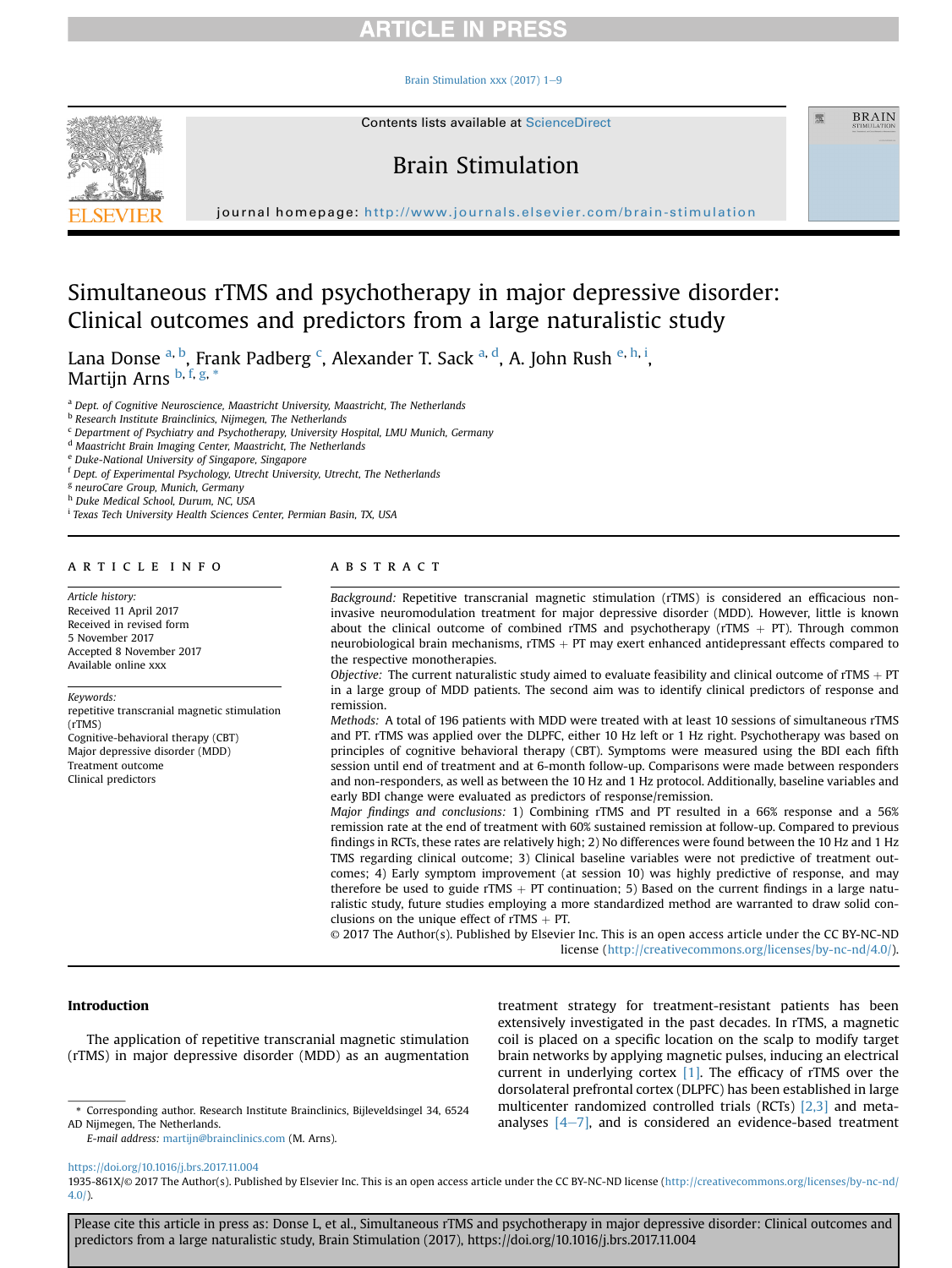#### Brain Stimulation xxx (2017)  $1-9$  $1-9$



Contents lists available at ScienceDirect

# Brain Stimulation

journal homepage: <http://www.journals.elsevier.com/brain-stimulation>

# Simultaneous rTMS and psychotherapy in major depressive disorder: Clinical outcomes and predictors from a large naturalistic study

Lana Donse <sup>a, b</sup>, Frank Padberg <sup>c</sup>, Alexander T. Sack <sup>a, d</sup>, A. John Rush <sup>e, h, i</sup>, Martijn Arns <sup>b, f, g, \*</sup>

a Dept. of Cognitive Neuroscience, Maastricht University, Maastricht, The Netherlands

**b Research Institute Brainclinics, Nijmegen, The Netherlands** 

 $c$  Department of Psychiatry and Psychotherapy, University Hospital, LMU Munich, Germany

<sup>d</sup> Maastricht Brain Imaging Center, Maastricht, The Netherlands

<sup>e</sup> Duke-National University of Singapore, Singapore

<sup>f</sup> Dept. of Experimental Psychology, Utrecht University, Utrecht, The Netherlands

<sup>g</sup> neuroCare Group, Munich, Germany

h Duke Medical School, Durum, NC, USA

<sup>i</sup> Texas Tech University Health Sciences Center, Permian Basin, TX, USA

### article info

Article history: Received 11 April 2017 Received in revised form 5 November 2017 Accepted 8 November 2017 Available online xxx

Keywords:

repetitive transcranial magnetic stimulation (rTMS) Cognitive-behavioral therapy (CBT) Major depressive disorder (MDD) Treatment outcome Clinical predictors

### ABSTRACT

Background: Repetitive transcranial magnetic stimulation (rTMS) is considered an efficacious noninvasive neuromodulation treatment for major depressive disorder (MDD). However, little is known about the clinical outcome of combined rTMS and psychotherapy (rTMS  $+$  PT). Through common neurobiological brain mechanisms,  $rTMS + PT$  may exert enhanced antidepressant effects compared to the respective monotherapies.

靈

**BRAIN** 

Objective: The current naturalistic study aimed to evaluate feasibility and clinical outcome of rTMS  $+$  PT in a large group of MDD patients. The second aim was to identify clinical predictors of response and remission.

Methods: A total of 196 patients with MDD were treated with at least 10 sessions of simultaneous rTMS and PT. rTMS was applied over the DLPFC, either 10 Hz left or 1 Hz right. Psychotherapy was based on principles of cognitive behavioral therapy (CBT). Symptoms were measured using the BDI each fifth session until end of treatment and at 6-month follow-up. Comparisons were made between responders and non-responders, as well as between the 10 Hz and 1 Hz protocol. Additionally, baseline variables and early BDI change were evaluated as predictors of response/remission.

Major findings and conclusions: 1) Combining rTMS and PT resulted in a 66% response and a 56% remission rate at the end of treatment with 60% sustained remission at follow-up. Compared to previous findings in RCTs, these rates are relatively high; 2) No differences were found between the 10 Hz and 1 Hz TMS regarding clinical outcome; 3) Clinical baseline variables were not predictive of treatment outcomes; 4) Early symptom improvement (at session 10) was highly predictive of response, and may therefore be used to guide rTMS  $+$  PT continuation; 5) Based on the current findings in a large naturalistic study, future studies employing a more standardized method are warranted to draw solid conclusions on the unique effect of  $rTMS + PT$ .

© 2017 The Author(s). Published by Elsevier Inc. This is an open access article under the CC BY-NC-ND license [\(http://creativecommons.org/licenses/by-nc-nd/4.0/](http://creativecommons.org/licenses/by-nc-nd/4.0/)).

### Introduction

The application of repetitive transcranial magnetic stimulation (rTMS) in major depressive disorder (MDD) as an augmentation

AD Nijmegen, The Netherlands.

E-mail address: [martijn@brainclinics.com](mailto:martijn@brainclinics.com) (M. Arns).

treatment strategy for treatment-resistant patients has been extensively investigated in the past decades. In rTMS, a magnetic coil is placed on a specific location on the scalp to modify target brain networks by applying magnetic pulses, inducing an electrical current in underlying cortex  $[1]$ . The efficacy of rTMS over the dorsolateral prefrontal cortex (DLPFC) has been established in large multicenter randomized controlled trials (RCTs) [\[2,3\]](#page-7-0) and meta-analyses [\[4](#page-7-0)-[7\],](#page-7-0) and is corresponding author. Research Institute Brainclinics, Bijleveldsingel 34, 6524 multicenter randomized controlled trials (KCTS) [2,3] and meta-<br>analyses [4-7], and is considered an evidence-based tre

<https://doi.org/10.1016/j.brs.2017.11.004>

1935-861X/© 2017 The Author(s). Published by Elsevier Inc. This is an open access article under the CC BY-NC-ND license [\(http://creativecommons.org/licenses/by-nc-nd/](http://creativecommons.org/licenses/by-nc-nd/4.0/) [4.0/](http://creativecommons.org/licenses/by-nc-nd/4.0/)).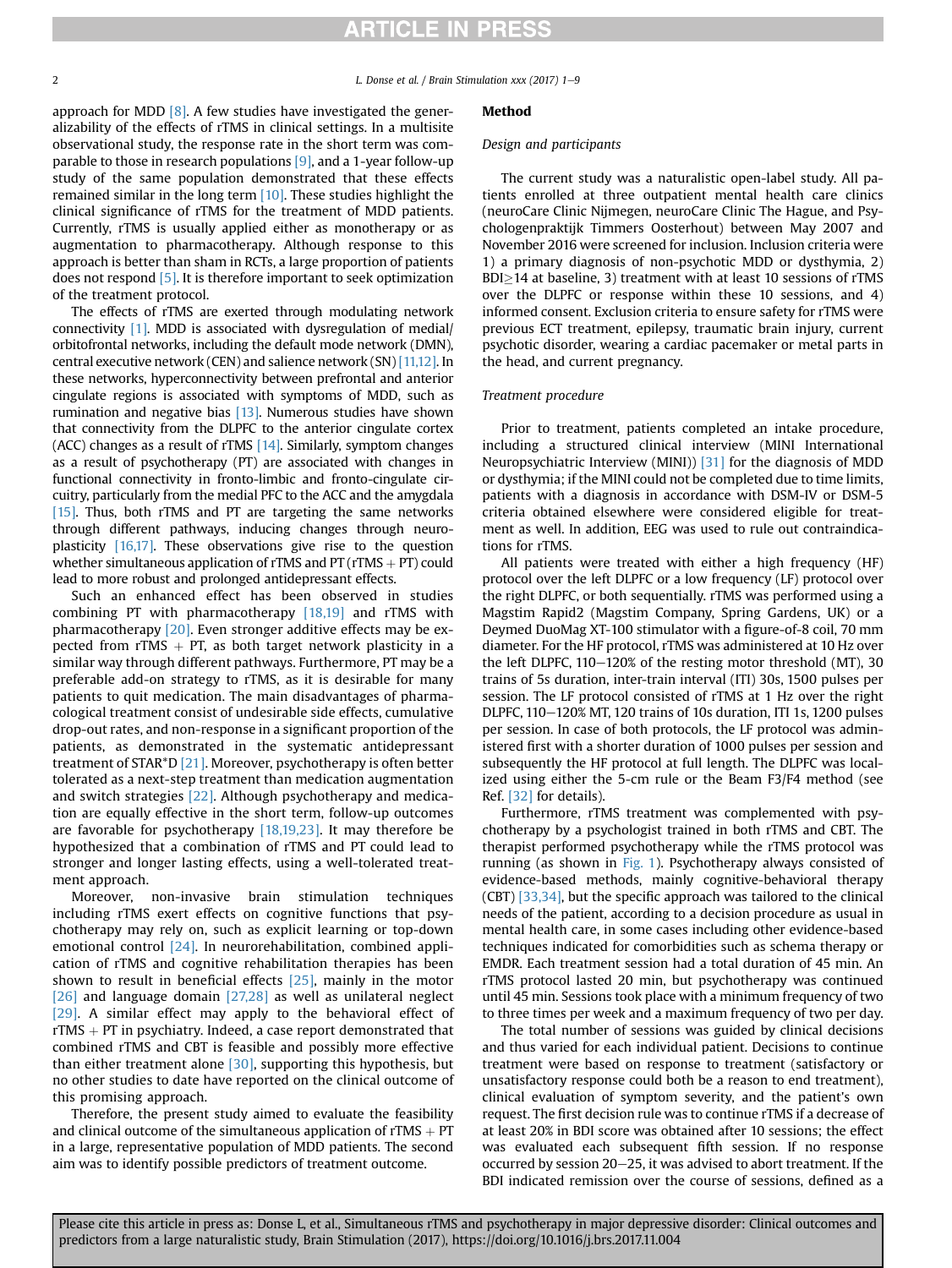2 **L. Donse et al. / Brain Stimulation xxx (2017) 1–9** 

approach for MDD [\[8\].](#page-7-0) A few studies have investigated the generalizability of the effects of rTMS in clinical settings. In a multisite observational study, the response rate in the short term was comparable to those in research populations [\[9\],](#page-7-0) and a 1-year follow-up study of the same population demonstrated that these effects remained similar in the long term [\[10\].](#page-7-0) These studies highlight the clinical significance of rTMS for the treatment of MDD patients. Currently, rTMS is usually applied either as monotherapy or as augmentation to pharmacotherapy. Although response to this approach is better than sham in RCTs, a large proportion of patients does not respond [\[5\]](#page-7-0). It is therefore important to seek optimization of the treatment protocol.

The effects of rTMS are exerted through modulating network connectivity [\[1\]](#page-7-0). MDD is associated with dysregulation of medial/ orbitofrontal networks, including the default mode network (DMN), central executive network (CEN) and salience network  $(SN)[11,12]$ . In these networks, hyperconnectivity between prefrontal and anterior cingulate regions is associated with symptoms of MDD, such as rumination and negative bias [\[13\]](#page-7-0). Numerous studies have shown that connectivity from the DLPFC to the anterior cingulate cortex (ACC) changes as a result of rTMS  $[14]$ . Similarly, symptom changes as a result of psychotherapy (PT) are associated with changes in functional connectivity in fronto-limbic and fronto-cingulate circuitry, particularly from the medial PFC to the ACC and the amygdala [\[15\]](#page-7-0). Thus, both rTMS and PT are targeting the same networks through different pathways, inducing changes through neuroplasticity [\[16,17\].](#page-7-0) These observations give rise to the question whether simultaneous application of rTMS and PT (rTMS  $+$  PT) could lead to more robust and prolonged antidepressant effects.

Such an enhanced effect has been observed in studies combining PT with pharmacotherapy [\[18,19\]](#page-7-0) and rTMS with pharmacotherapy [\[20\]](#page-7-0). Even stronger additive effects may be expected from rTMS  $+$  PT, as both target network plasticity in a similar way through different pathways. Furthermore, PT may be a preferable add-on strategy to rTMS, as it is desirable for many patients to quit medication. The main disadvantages of pharmacological treatment consist of undesirable side effects, cumulative drop-out rates, and non-response in a significant proportion of the patients, as demonstrated in the systematic antidepressant treatment of STAR\*D [\[21\]](#page-7-0). Moreover, psychotherapy is often better tolerated as a next-step treatment than medication augmentation and switch strategies [\[22\].](#page-7-0) Although psychotherapy and medication are equally effective in the short term, follow-up outcomes are favorable for psychotherapy [\[18,19,23\]](#page-7-0). It may therefore be hypothesized that a combination of rTMS and PT could lead to stronger and longer lasting effects, using a well-tolerated treatment approach.

Moreover, non-invasive brain stimulation techniques including rTMS exert effects on cognitive functions that psychotherapy may rely on, such as explicit learning or top-down emotional control [\[24\]](#page-7-0). In neurorehabilitation, combined application of rTMS and cognitive rehabilitation therapies has been shown to result in beneficial effects [\[25\],](#page-7-0) mainly in the motor [\[26\]](#page-7-0) and language domain [\[27,28\]](#page-7-0) as well as unilateral neglect [\[29\]](#page-7-0). A similar effect may apply to the behavioral effect of  $rTMS + PT$  in psychiatry. Indeed, a case report demonstrated that combined rTMS and CBT is feasible and possibly more effective than either treatment alone  $[30]$ , supporting this hypothesis, but no other studies to date have reported on the clinical outcome of this promising approach.

Therefore, the present study aimed to evaluate the feasibility and clinical outcome of the simultaneous application of  $rTMS + PT$ in a large, representative population of MDD patients. The second aim was to identify possible predictors of treatment outcome.

#### Method

#### Design and participants

The current study was a naturalistic open-label study. All patients enrolled at three outpatient mental health care clinics (neuroCare Clinic Nijmegen, neuroCare Clinic The Hague, and Psychologenpraktijk Timmers Oosterhout) between May 2007 and November 2016 were screened for inclusion. Inclusion criteria were 1) a primary diagnosis of non-psychotic MDD or dysthymia, 2)  $BDI \geq 14$  at baseline, 3) treatment with at least 10 sessions of rTMS over the DLPFC or response within these 10 sessions, and 4) informed consent. Exclusion criteria to ensure safety for rTMS were previous ECT treatment, epilepsy, traumatic brain injury, current psychotic disorder, wearing a cardiac pacemaker or metal parts in the head, and current pregnancy.

#### Treatment procedure

Prior to treatment, patients completed an intake procedure, including a structured clinical interview (MINI International Neuropsychiatric Interview (MINI)) [\[31\]](#page-7-0) for the diagnosis of MDD or dysthymia; if the MINI could not be completed due to time limits, patients with a diagnosis in accordance with DSM-IV or DSM-5 criteria obtained elsewhere were considered eligible for treatment as well. In addition, EEG was used to rule out contraindications for rTMS.

All patients were treated with either a high frequency (HF) protocol over the left DLPFC or a low frequency (LF) protocol over the right DLPFC, or both sequentially. rTMS was performed using a Magstim Rapid2 (Magstim Company, Spring Gardens, UK) or a Deymed DuoMag XT-100 stimulator with a figure-of-8 coil, 70 mm diameter. For the HF protocol, rTMS was administered at 10 Hz over the left DLPFC,  $110-120\%$  of the resting motor threshold (MT), 30 trains of 5s duration, inter-train interval (ITI) 30s, 1500 pulses per session. The LF protocol consisted of rTMS at 1 Hz over the right DLPFC,  $110-120\%$  MT,  $120$  trains of 10s duration, ITI 1s, 1200 pulses per session. In case of both protocols, the LF protocol was administered first with a shorter duration of 1000 pulses per session and subsequently the HF protocol at full length. The DLPFC was localized using either the 5-cm rule or the Beam F3/F4 method (see Ref. [\[32\]](#page-7-0) for details).

Furthermore, rTMS treatment was complemented with psychotherapy by a psychologist trained in both rTMS and CBT. The therapist performed psychotherapy while the rTMS protocol was running (as shown in [Fig. 1](#page-2-0)). Psychotherapy always consisted of evidence-based methods, mainly cognitive-behavioral therapy (CBT) [\[33,34\]](#page-7-0), but the specific approach was tailored to the clinical needs of the patient, according to a decision procedure as usual in mental health care, in some cases including other evidence-based techniques indicated for comorbidities such as schema therapy or EMDR. Each treatment session had a total duration of 45 min. An rTMS protocol lasted 20 min, but psychotherapy was continued until 45 min. Sessions took place with a minimum frequency of two to three times per week and a maximum frequency of two per day.

The total number of sessions was guided by clinical decisions and thus varied for each individual patient. Decisions to continue treatment were based on response to treatment (satisfactory or unsatisfactory response could both be a reason to end treatment), clinical evaluation of symptom severity, and the patient's own request. The first decision rule was to continue rTMS if a decrease of at least 20% in BDI score was obtained after 10 sessions; the effect was evaluated each subsequent fifth session. If no response occurred by session 20–25, it was advised to abort treatment. If the BDI indicated remission over the course of sessions, defined as a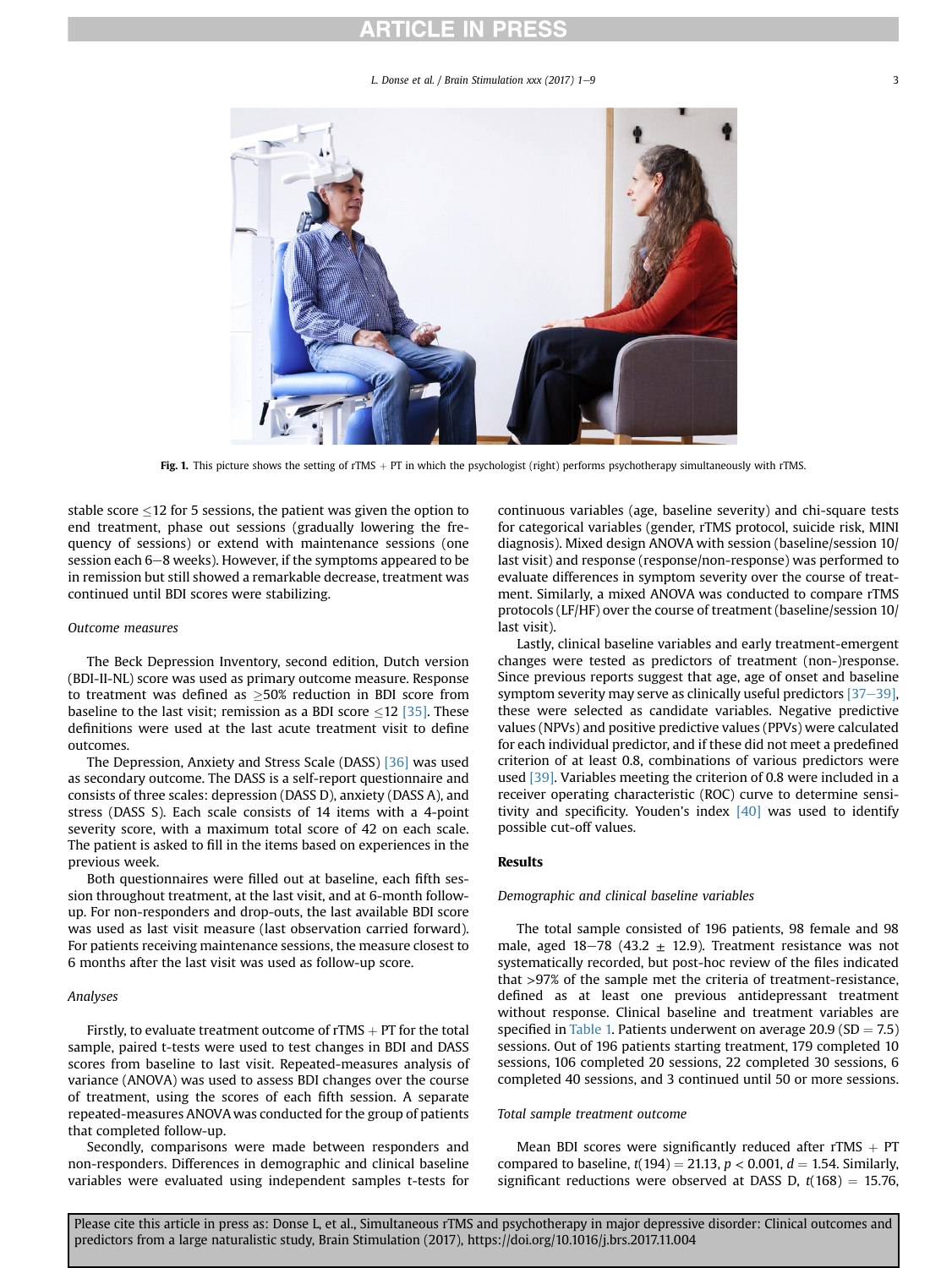#### L. Donse et al. / Brain Stimulation  $xxx$  (2017) 1–9  $3$

<span id="page-2-0"></span>

Fig. 1. This picture shows the setting of rTMS  $+$  PT in which the psychologist (right) performs psychotherapy simultaneously with rTMS.

stable score  $\leq$ 12 for 5 sessions, the patient was given the option to end treatment, phase out sessions (gradually lowering the frequency of sessions) or extend with maintenance sessions (one session each  $6-8$  weeks). However, if the symptoms appeared to be in remission but still showed a remarkable decrease, treatment was continued until BDI scores were stabilizing.

#### Outcome measures

The Beck Depression Inventory, second edition, Dutch version (BDI-II-NL) score was used as primary outcome measure. Response to treatment was defined as  $\geq$ 50% reduction in BDI score from baseline to the last visit; remission as a BDI score  $\leq$  12 [\[35\]](#page-7-0). These definitions were used at the last acute treatment visit to define outcomes.

The Depression, Anxiety and Stress Scale (DASS) [\[36\]](#page-7-0) was used as secondary outcome. The DASS is a self-report questionnaire and consists of three scales: depression (DASS D), anxiety (DASS A), and stress (DASS S). Each scale consists of 14 items with a 4-point severity score, with a maximum total score of 42 on each scale. The patient is asked to fill in the items based on experiences in the previous week.

Both questionnaires were filled out at baseline, each fifth session throughout treatment, at the last visit, and at 6-month followup. For non-responders and drop-outs, the last available BDI score was used as last visit measure (last observation carried forward). For patients receiving maintenance sessions, the measure closest to 6 months after the last visit was used as follow-up score.

#### Analyses

Firstly, to evaluate treatment outcome of rTMS  $+$  PT for the total sample, paired t-tests were used to test changes in BDI and DASS scores from baseline to last visit. Repeated-measures analysis of variance (ANOVA) was used to assess BDI changes over the course of treatment, using the scores of each fifth session. A separate repeated-measures ANOVA was conducted for the group of patients that completed follow-up.

Secondly, comparisons were made between responders and non-responders. Differences in demographic and clinical baseline variables were evaluated using independent samples t-tests for

continuous variables (age, baseline severity) and chi-square tests for categorical variables (gender, rTMS protocol, suicide risk, MINI diagnosis). Mixed design ANOVA with session (baseline/session 10/ last visit) and response (response/non-response) was performed to evaluate differences in symptom severity over the course of treatment. Similarly, a mixed ANOVA was conducted to compare rTMS protocols (LF/HF) over the course of treatment (baseline/session 10/ last visit).

Lastly, clinical baseline variables and early treatment-emergent changes were tested as predictors of treatment (non-)response. Since previous reports suggest that age, age of onset and baseline symptom severity may serve as clinically useful predictors  $[37-39]$  $[37-39]$ , these were selected as candidate variables. Negative predictive values (NPVs) and positive predictive values (PPVs) were calculated for each individual predictor, and if these did not meet a predefined criterion of at least 0.8, combinations of various predictors were used [\[39\].](#page-8-0) Variables meeting the criterion of 0.8 were included in a receiver operating characteristic (ROC) curve to determine sensitivity and specificity. Youden's index  $[40]$  was used to identify possible cut-off values.

### Results

#### Demographic and clinical baseline variables

The total sample consisted of 196 patients, 98 female and 98 male, aged 18-78 (43.2  $\pm$  12.9). Treatment resistance was not systematically recorded, but post-hoc review of the files indicated that >97% of the sample met the criteria of treatment-resistance, defined as at least one previous antidepressant treatment without response. Clinical baseline and treatment variables are specified in [Table 1.](#page-3-0) Patients underwent on average  $20.9$  (SD = 7.5) sessions. Out of 196 patients starting treatment, 179 completed 10 sessions, 106 completed 20 sessions, 22 completed 30 sessions, 6 completed 40 sessions, and 3 continued until 50 or more sessions.

#### Total sample treatment outcome

Mean BDI scores were significantly reduced after rTMS  $+$  PT compared to baseline,  $t(194) = 21.13$ ,  $p < 0.001$ ,  $d = 1.54$ . Similarly, significant reductions were observed at DASS D,  $t(168) = 15.76$ ,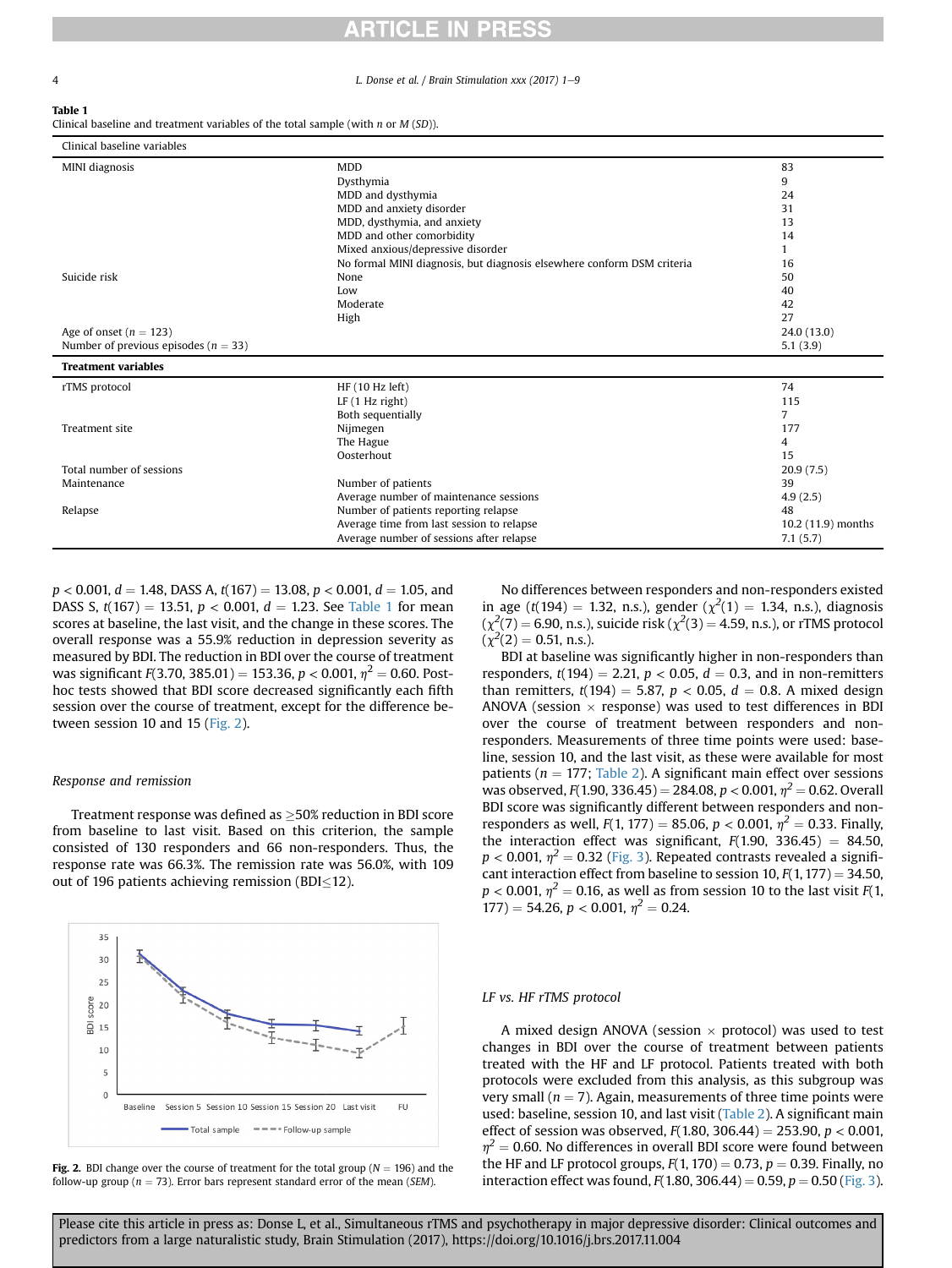<span id="page-3-0"></span>4 **L. Donse et al.** / Brain Stimulation xxx (2017) 1-9

| $\sim$<br>. .<br>$\sim$ |
|-------------------------|
|-------------------------|

Clinical baseline and treatment variables of the total sample (with  $n$  or  $M(SD)$ ).

| Clinical baseline variables              |                                                                        |                    |
|------------------------------------------|------------------------------------------------------------------------|--------------------|
| MINI diagnosis                           | <b>MDD</b>                                                             | 83                 |
|                                          | Dysthymia                                                              | 9                  |
|                                          | MDD and dysthymia                                                      | 24                 |
|                                          | MDD and anxiety disorder                                               | 31                 |
|                                          | MDD, dysthymia, and anxiety                                            | 13                 |
|                                          | MDD and other comorbidity                                              | 14                 |
|                                          | Mixed anxious/depressive disorder                                      |                    |
|                                          | No formal MINI diagnosis, but diagnosis elsewhere conform DSM criteria | 16                 |
| Suicide risk                             | None                                                                   | 50                 |
|                                          | Low                                                                    | 40                 |
|                                          | Moderate                                                               | 42                 |
|                                          | High                                                                   | 27                 |
| Age of onset ( $n = 123$ )               |                                                                        | 24.0(13.0)         |
| Number of previous episodes ( $n = 33$ ) |                                                                        | 5.1(3.9)           |
| <b>Treatment variables</b>               |                                                                        |                    |
| rTMS protocol                            | HF (10 Hz left)                                                        | 74                 |
|                                          | $LF(1 Hz$ right)                                                       | 115                |
|                                          | Both sequentially                                                      | 7                  |
| Treatment site                           | Nijmegen                                                               | 177                |
|                                          | The Hague                                                              | 4                  |
|                                          | Oosterhout                                                             | 15                 |
| Total number of sessions                 |                                                                        | 20.9(7.5)          |
| Maintenance                              | Number of patients                                                     | 39                 |
|                                          | Average number of maintenance sessions                                 | 4.9(2.5)           |
| Relapse                                  | Number of patients reporting relapse                                   | 48                 |
|                                          | Average time from last session to relapse                              | 10.2 (11.9) months |
|                                          | Average number of sessions after relapse                               | 7.1(5.7)           |

 $p < 0.001$ ,  $d = 1.48$ , DASS A,  $t(167) = 13.08$ ,  $p < 0.001$ ,  $d = 1.05$ , and DASS S,  $t(167) = 13.51$ ,  $p < 0.001$ ,  $d = 1.23$ . See Table 1 for mean scores at baseline, the last visit, and the change in these scores. The overall response was a 55.9% reduction in depression severity as measured by BDI. The reduction in BDI over the course of treatment was significant  $F(3.70, 385.01) = 153.36, p < 0.001, \eta^2 = 0.60$ . Posthoc tests showed that BDI score decreased significantly each fifth session over the course of treatment, except for the difference between session 10 and 15 (Fig. 2).

#### Response and remission

Treatment response was defined as  $\geq$ 50% reduction in BDI score from baseline to last visit. Based on this criterion, the sample consisted of 130 responders and 66 non-responders. Thus, the response rate was 66.3%. The remission rate was 56.0%, with 109 out of 196 patients achieving remission (BDI $\leq$ 12).



Fig. 2. BDI change over the course of treatment for the total group ( $N = 196$ ) and the follow-up group ( $n = 73$ ). Error bars represent standard error of the mean (SEM).

No differences between responders and non-responders existed in age (t(194) = 1.32, n.s.), gender ( $\chi^2(1) = 1.34$ , n.s.), diagnosis  $(\chi^2(7) = 6.90, n.s.),$  suicide risk ( $\chi^2(3) = 4.59, n.s.,$ ), or rTMS protocol  $(\chi^2(2) = 0.51, n.s.).$ 

BDI at baseline was significantly higher in non-responders than responders,  $t(194) = 2.21$ ,  $p < 0.05$ ,  $d = 0.3$ , and in non-remitters than remitters,  $t(194) = 5.87$ ,  $p < 0.05$ ,  $d = 0.8$ . A mixed design ANOVA (session  $\times$  response) was used to test differences in BDI over the course of treatment between responders and nonresponders. Measurements of three time points were used: baseline, session 10, and the last visit, as these were available for most patients ( $n = 177$ ; [Table 2](#page-4-0)). A significant main effect over sessions was observed,  $F(1.90, 336.45) = 284.08$ ,  $p < 0.001$ ,  $p^2 = 0.62$ . Overall BDI score was significantly different between responders and nonresponders as well,  $F(1, 177) = 85.06$ ,  $p < 0.001$ ,  $\eta^2 = 0.33$ . Finally, the interaction effect was significant,  $F(1.90, 336.45) = 84.50$ ,  $p < 0.001$ ,  $\eta^2 = 0.32$  ([Fig. 3](#page-4-0)). Repeated contrasts revealed a significant interaction effect from baseline to session 10,  $F(1, 177) = 34.50$ ,  $p < 0.001$ ,  $\eta^2 = 0.16$ , as well as from session 10 to the last visit  $F(1, 1)$  $177$ ) = 54.26, p < 0.001,  $\eta^2$  = 0.24.

#### LF vs. HF rTMS protocol

A mixed design ANOVA (session  $\times$  protocol) was used to test changes in BDI over the course of treatment between patients treated with the HF and LF protocol. Patients treated with both protocols were excluded from this analysis, as this subgroup was very small ( $n = 7$ ). Again, measurements of three time points were used: baseline, session 10, and last visit [\(Table 2\)](#page-4-0). A significant main effect of session was observed,  $F(1.80, 306.44) = 253.90, p < 0.001$ ,  $\eta^2$  = 0.60. No differences in overall BDI score were found between the HF and LF protocol groups,  $F(1, 170) = 0.73$ ,  $p = 0.39$ . Finally, no interaction effect was found,  $F(1.80, 306.44) = 0.59$ ,  $p = 0.50$  ([Fig. 3\)](#page-4-0).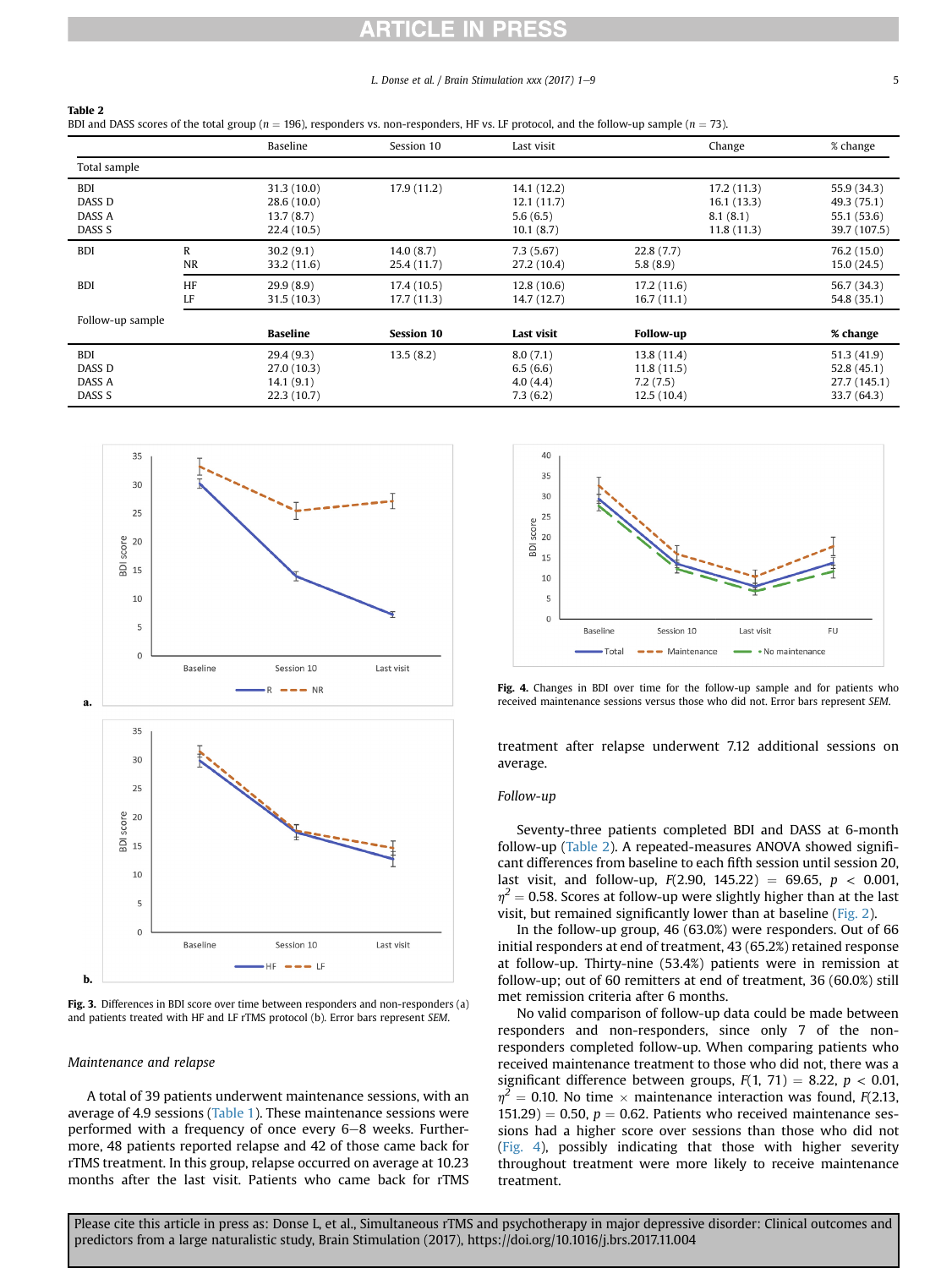# CLE

#### L. Donse et al. / Brain Stimulation  $xxx$  (2017) 1–9  $5$

#### <span id="page-4-0"></span>Table 2

BDI and DASS scores of the total group ( $n = 196$ ), responders vs. non-responders, HF vs. LF protocol, and the follow-up sample ( $n = 73$ ).

|                                                     |                | Baseline                                             | Session 10                | Last visit                                          | Change                                              | % change                                                  |
|-----------------------------------------------------|----------------|------------------------------------------------------|---------------------------|-----------------------------------------------------|-----------------------------------------------------|-----------------------------------------------------------|
| Total sample                                        |                |                                                      |                           |                                                     |                                                     |                                                           |
| <b>BDI</b><br>DASS D<br>DASS A<br>DASS <sub>S</sub> |                | 31.3(10.0)<br>28.6(10.0)<br>13.7(8.7)<br>22.4 (10.5) | 17.9(11.2)                | 14.1 (12.2)<br>12.1 (11.7)<br>5.6(6.5)<br>10.1(8.7) | 17.2(11.3)<br>16.1 (13.3)<br>8.1(8.1)<br>11.8(11.3) | 55.9 (34.3)<br>49.3 (75.1)<br>55.1 (53.6)<br>39.7 (107.5) |
| <b>BDI</b>                                          | R<br><b>NR</b> | 30.2(9.1)<br>33.2 (11.6)                             | 14.0(8.7)<br>25.4 (11.7)  | 7.3(5.67)<br>27.2 (10.4)                            | 22.8(7.7)<br>5.8(8.9)                               | 76.2 (15.0)<br>15.0(24.5)                                 |
| <b>BDI</b>                                          | HF<br>LF       | 29.9(8.9)<br>31.5(10.3)                              | 17.4 (10.5)<br>17.7(11.3) | 12.8(10.6)<br>14.7 (12.7)                           | 17.2(11.6)<br>16.7(11.1)                            | 56.7 (34.3)<br>54.8 (35.1)                                |
| Follow-up sample                                    |                |                                                      |                           |                                                     |                                                     |                                                           |
|                                                     |                | <b>Baseline</b>                                      | <b>Session 10</b>         | Last visit                                          | <b>Follow-up</b>                                    | % change                                                  |
| <b>BDI</b><br>DASS D<br>DASS A<br>DASS <sub>S</sub> |                | 29.4(9.3)<br>27.0(10.3)<br>14.1(9.1)<br>22.3(10.7)   | 13.5(8.2)                 | 8.0(7.1)<br>6.5(6.6)<br>4.0(4.4)<br>7.3(6.2)        | 13.8 (11.4)<br>11.8(11.5)<br>7.2(7.5)<br>12.5(10.4) | 51.3(41.9)<br>52.8(45.1)<br>27.7 (145.1)<br>33.7 (64.3)   |



Fig. 3. Differences in BDI score over time between responders and non-responders (a) and patients treated with HF and LF rTMS protocol (b). Error bars represent SEM.

#### Maintenance and relapse

A total of 39 patients underwent maintenance sessions, with an average of 4.9 sessions ([Table 1\)](#page-3-0). These maintenance sessions were performed with a frequency of once every  $6-8$  weeks. Furthermore, 48 patients reported relapse and 42 of those came back for rTMS treatment. In this group, relapse occurred on average at 10.23 months after the last visit. Patients who came back for rTMS



Fig. 4. Changes in BDI over time for the follow-up sample and for patients who received maintenance sessions versus those who did not. Error bars represent SEM.

treatment after relapse underwent 7.12 additional sessions on average.

#### Follow-up

Seventy-three patients completed BDI and DASS at 6-month follow-up (Table 2). A repeated-measures ANOVA showed significant differences from baseline to each fifth session until session 20, last visit, and follow-up,  $F(2.90, 145.22) = 69.65, p < 0.001$ ,  $\eta^2$  = 0.58. Scores at follow-up were slightly higher than at the last visit, but remained significantly lower than at baseline [\(Fig. 2](#page-3-0)).

In the follow-up group, 46 (63.0%) were responders. Out of 66 initial responders at end of treatment, 43 (65.2%) retained response at follow-up. Thirty-nine (53.4%) patients were in remission at follow-up; out of 60 remitters at end of treatment, 36 (60.0%) still met remission criteria after 6 months.

No valid comparison of follow-up data could be made between responders and non-responders, since only 7 of the nonresponders completed follow-up. When comparing patients who received maintenance treatment to those who did not, there was a significant difference between groups,  $F(1, 71) = 8.22$ ,  $p < 0.01$ ,  $\eta^2$  = 0.10. No time  $\times$  maintenance interaction was found, F(2.13,  $151.29$ ) = 0.50,  $p = 0.62$ . Patients who received maintenance sessions had a higher score over sessions than those who did not (Fig. 4), possibly indicating that those with higher severity throughout treatment were more likely to receive maintenance treatment.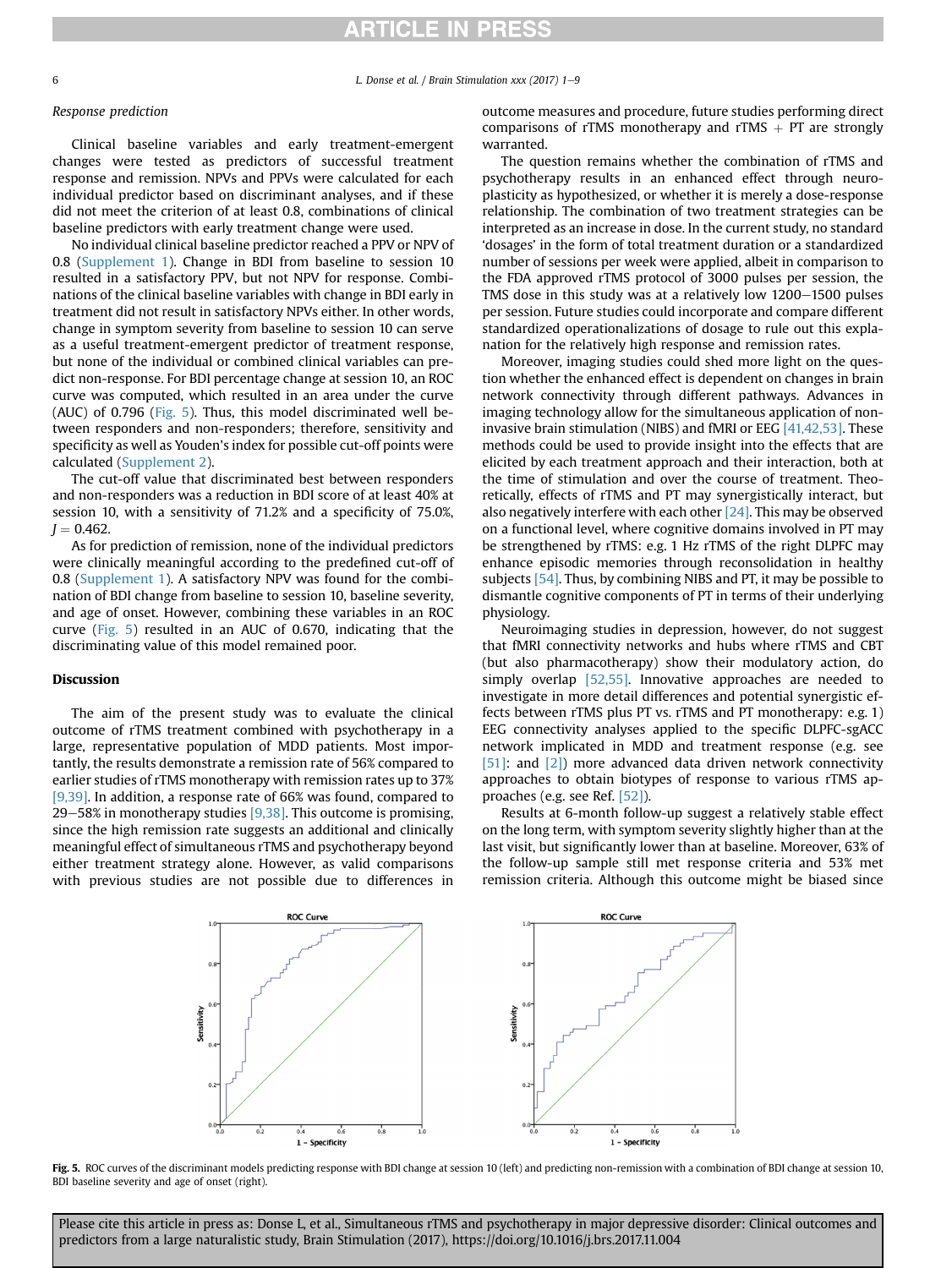6 **Calculation 2018** L. Donse et al. / Brain Stimulation xxx (2017) 1–9

#### Response prediction

Clinical baseline variables and early treatment-emergent changes were tested as predictors of successful treatment response and remission. NPVs and PPVs were calculated for each individual predictor based on discriminant analyses, and if these did not meet the criterion of at least 0.8, combinations of clinical baseline predictors with early treatment change were used.

No individual clinical baseline predictor reached a PPV or NPV of 0.8 (Supplement 1). Change in BDI from baseline to session 10 resulted in a satisfactory PPV, but not NPV for response. Combinations of the clinical baseline variables with change in BDI early in treatment did not result in satisfactory NPVs either. In other words, change in symptom severity from baseline to session 10 can serve as a useful treatment-emergent predictor of treatment response, but none of the individual or combined clinical variables can predict non-response. For BDI percentage change at session 10, an ROC curve was computed, which resulted in an area under the curve (AUC) of 0.796 (Fig. 5). Thus, this model discriminated well between responders and non-responders; therefore, sensitivity and specificity as well as Youden's index for possible cut-off points were calculated (Supplement 2).

The cut-off value that discriminated best between responders and non-responders was a reduction in BDI score of at least 40% at session 10, with a sensitivity of 71.2% and a specificity of 75.0%,  $J = 0.462$ .

As for prediction of remission, none of the individual predictors were clinically meaningful according to the predefined cut-off of 0.8 (Supplement 1). A satisfactory NPV was found for the combination of BDI change from baseline to session 10, baseline severity, and age of onset. However, combining these variables in an ROC curve (Fig. 5) resulted in an AUC of 0.670, indicating that the discriminating value of this model remained poor.

#### Discussion

The aim of the present study was to evaluate the clinical outcome of rTMS treatment combined with psychotherapy in a large, representative population of MDD patients. Most importantly, the results demonstrate a remission rate of 56% compared to earlier studies of rTMS monotherapy with remission rates up to 37% [\[9,39\].](#page-7-0) In addition, a response rate of 66% was found, compared to 29–58% in monotherapy studies  $[9,38]$ . This outcome is promising, since the high remission rate suggests an additional and clinically meaningful effect of simultaneous rTMS and psychotherapy beyond either treatment strategy alone. However, as valid comparisons with previous studies are not possible due to differences in

outcome measures and procedure, future studies performing direct comparisons of rTMS monotherapy and rTMS  $+$  PT are strongly warranted.

The question remains whether the combination of rTMS and psychotherapy results in an enhanced effect through neuroplasticity as hypothesized, or whether it is merely a dose-response relationship. The combination of two treatment strategies can be interpreted as an increase in dose. In the current study, no standard 'dosages' in the form of total treatment duration or a standardized number of sessions per week were applied, albeit in comparison to the FDA approved rTMS protocol of 3000 pulses per session, the TMS dose in this study was at a relatively low 1200-1500 pulses per session. Future studies could incorporate and compare different standardized operationalizations of dosage to rule out this explanation for the relatively high response and remission rates.

Moreover, imaging studies could shed more light on the question whether the enhanced effect is dependent on changes in brain network connectivity through different pathways. Advances in imaging technology allow for the simultaneous application of noninvasive brain stimulation (NIBS) and fMRI or EEG [\[41,42,53\]](#page-8-0). These methods could be used to provide insight into the effects that are elicited by each treatment approach and their interaction, both at the time of stimulation and over the course of treatment. Theoretically, effects of rTMS and PT may synergistically interact, but also negatively interfere with each other  $[24]$ . This may be observed on a functional level, where cognitive domains involved in PT may be strengthened by rTMS: e.g. 1 Hz rTMS of the right DLPFC may enhance episodic memories through reconsolidation in healthy subjects [\[54\].](#page-8-0) Thus, by combining NIBS and PT, it may be possible to dismantle cognitive components of PT in terms of their underlying physiology.

Neuroimaging studies in depression, however, do not suggest that fMRI connectivity networks and hubs where rTMS and CBT (but also pharmacotherapy) show their modulatory action, do simply overlap [\[52,55\]](#page-8-0). Innovative approaches are needed to investigate in more detail differences and potential synergistic effects between rTMS plus PT vs. rTMS and PT monotherapy: e.g. 1) EEG connectivity analyses applied to the specific DLPFC-sgACC network implicated in MDD and treatment response (e.g. see [\[51\]:](#page-8-0) and [\[2\]](#page-7-0)) more advanced data driven network connectivity approaches to obtain biotypes of response to various rTMS approaches (e.g. see Ref. [\[52\]\)](#page-8-0).

Results at 6-month follow-up suggest a relatively stable effect on the long term, with symptom severity slightly higher than at the last visit, but significantly lower than at baseline. Moreover, 63% of the follow-up sample still met response criteria and 53% met remission criteria. Although this outcome might be biased since



Fig. 5. ROC curves of the discriminant models predicting response with BDI change at session 10 (left) and predicting non-remission with a combination of BDI change at session 10, BDI baseline severity and age of onset (right).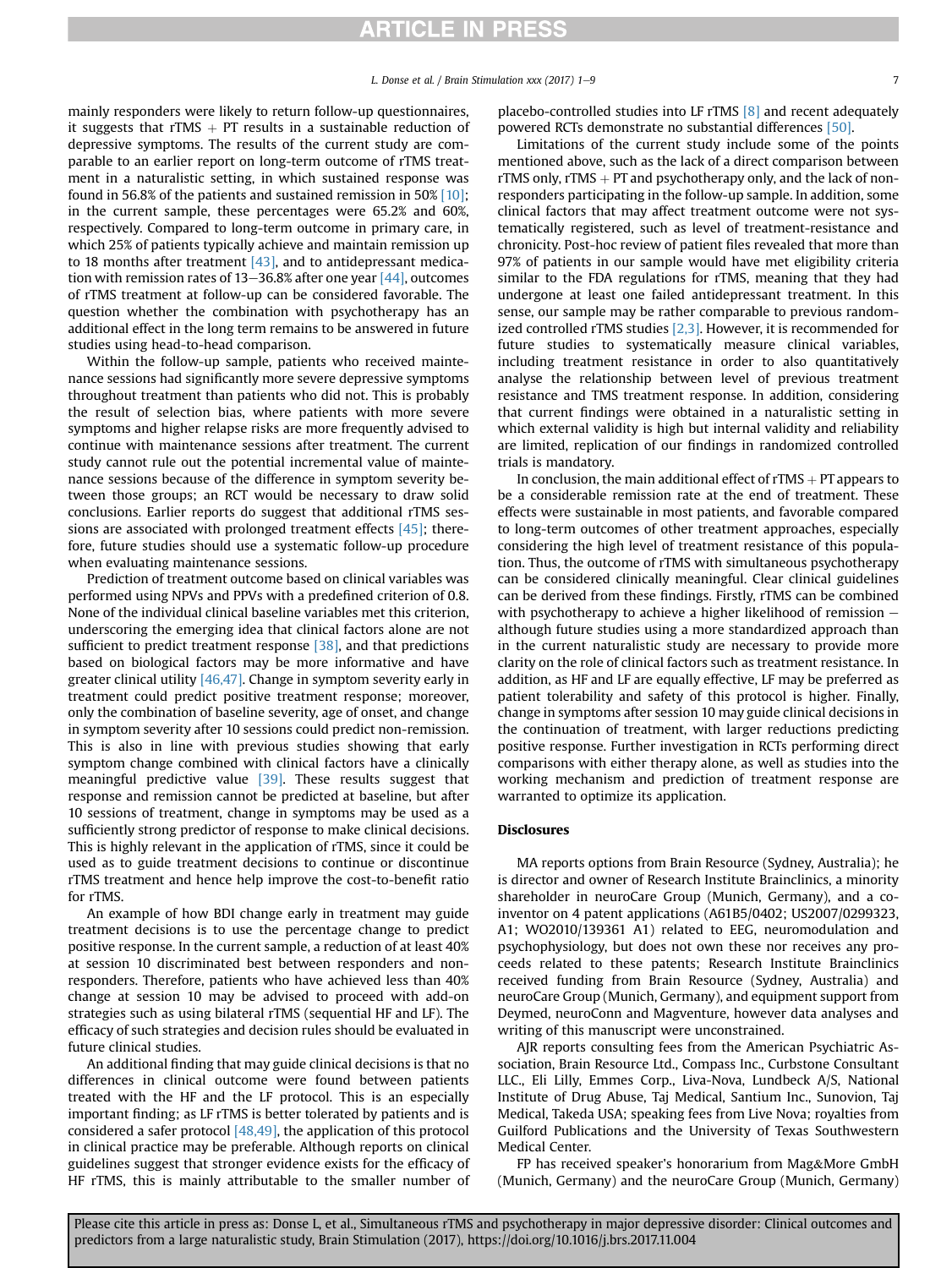mainly responders were likely to return follow-up questionnaires, it suggests that rTMS  $+$  PT results in a sustainable reduction of depressive symptoms. The results of the current study are comparable to an earlier report on long-term outcome of rTMS treatment in a naturalistic setting, in which sustained response was found in 56.8% of the patients and sustained remission in 50% [\[10\];](#page-7-0) in the current sample, these percentages were 65.2% and 60%, respectively. Compared to long-term outcome in primary care, in which 25% of patients typically achieve and maintain remission up to 18 months after treatment  $[43]$ , and to antidepressant medication with remission rates of  $13-36.8\%$  after one year  $[44]$ , outcomes of rTMS treatment at follow-up can be considered favorable. The question whether the combination with psychotherapy has an additional effect in the long term remains to be answered in future studies using head-to-head comparison.

Within the follow-up sample, patients who received maintenance sessions had significantly more severe depressive symptoms throughout treatment than patients who did not. This is probably the result of selection bias, where patients with more severe symptoms and higher relapse risks are more frequently advised to continue with maintenance sessions after treatment. The current study cannot rule out the potential incremental value of maintenance sessions because of the difference in symptom severity between those groups; an RCT would be necessary to draw solid conclusions. Earlier reports do suggest that additional rTMS sessions are associated with prolonged treatment effects [\[45\];](#page-8-0) therefore, future studies should use a systematic follow-up procedure when evaluating maintenance sessions.

Prediction of treatment outcome based on clinical variables was performed using NPVs and PPVs with a predefined criterion of 0.8. None of the individual clinical baseline variables met this criterion, underscoring the emerging idea that clinical factors alone are not sufficient to predict treatment response [\[38\],](#page-7-0) and that predictions based on biological factors may be more informative and have greater clinical utility [\[46,47\].](#page-8-0) Change in symptom severity early in treatment could predict positive treatment response; moreover, only the combination of baseline severity, age of onset, and change in symptom severity after 10 sessions could predict non-remission. This is also in line with previous studies showing that early symptom change combined with clinical factors have a clinically meaningful predictive value [\[39\].](#page-8-0) These results suggest that response and remission cannot be predicted at baseline, but after 10 sessions of treatment, change in symptoms may be used as a sufficiently strong predictor of response to make clinical decisions. This is highly relevant in the application of rTMS, since it could be used as to guide treatment decisions to continue or discontinue rTMS treatment and hence help improve the cost-to-benefit ratio for rTMS.

An example of how BDI change early in treatment may guide treatment decisions is to use the percentage change to predict positive response. In the current sample, a reduction of at least 40% at session 10 discriminated best between responders and nonresponders. Therefore, patients who have achieved less than 40% change at session 10 may be advised to proceed with add-on strategies such as using bilateral rTMS (sequential HF and LF). The efficacy of such strategies and decision rules should be evaluated in future clinical studies.

An additional finding that may guide clinical decisions is that no differences in clinical outcome were found between patients treated with the HF and the LF protocol. This is an especially important finding; as LF rTMS is better tolerated by patients and is considered a safer protocol  $[48,49]$ , the application of this protocol in clinical practice may be preferable. Although reports on clinical guidelines suggest that stronger evidence exists for the efficacy of HF rTMS, this is mainly attributable to the smaller number of placebo-controlled studies into LF rTMS [\[8\]](#page-7-0) and recent adequately powered RCTs demonstrate no substantial differences [\[50\].](#page-8-0)

Limitations of the current study include some of the points mentioned above, such as the lack of a direct comparison between rTMS only,  $rTMS + PT$  and psychotherapy only, and the lack of nonresponders participating in the follow-up sample. In addition, some clinical factors that may affect treatment outcome were not systematically registered, such as level of treatment-resistance and chronicity. Post-hoc review of patient files revealed that more than 97% of patients in our sample would have met eligibility criteria similar to the FDA regulations for rTMS, meaning that they had undergone at least one failed antidepressant treatment. In this sense, our sample may be rather comparable to previous randomized controlled rTMS studies  $[2,3]$ . However, it is recommended for future studies to systematically measure clinical variables, including treatment resistance in order to also quantitatively analyse the relationship between level of previous treatment resistance and TMS treatment response. In addition, considering that current findings were obtained in a naturalistic setting in which external validity is high but internal validity and reliability are limited, replication of our findings in randomized controlled trials is mandatory.

In conclusion, the main additional effect of  $rTMS + PT$  appears to be a considerable remission rate at the end of treatment. These effects were sustainable in most patients, and favorable compared to long-term outcomes of other treatment approaches, especially considering the high level of treatment resistance of this population. Thus, the outcome of rTMS with simultaneous psychotherapy can be considered clinically meaningful. Clear clinical guidelines can be derived from these findings. Firstly, rTMS can be combined with psychotherapy to achieve a higher likelihood of remission  $$ although future studies using a more standardized approach than in the current naturalistic study are necessary to provide more clarity on the role of clinical factors such as treatment resistance. In addition, as HF and LF are equally effective, LF may be preferred as patient tolerability and safety of this protocol is higher. Finally, change in symptoms after session 10 may guide clinical decisions in the continuation of treatment, with larger reductions predicting positive response. Further investigation in RCTs performing direct comparisons with either therapy alone, as well as studies into the working mechanism and prediction of treatment response are warranted to optimize its application.

#### Disclosures

MA reports options from Brain Resource (Sydney, Australia); he is director and owner of Research Institute Brainclinics, a minority shareholder in neuroCare Group (Munich, Germany), and a coinventor on 4 patent applications (A61B5/0402; US2007/0299323, A1; WO2010/139361 A1) related to EEG, neuromodulation and psychophysiology, but does not own these nor receives any proceeds related to these patents; Research Institute Brainclinics received funding from Brain Resource (Sydney, Australia) and neuroCare Group (Munich, Germany), and equipment support from Deymed, neuroConn and Magventure, however data analyses and writing of this manuscript were unconstrained.

AJR reports consulting fees from the American Psychiatric Association, Brain Resource Ltd., Compass Inc., Curbstone Consultant LLC., Eli Lilly, Emmes Corp., Liva-Nova, Lundbeck A/S, National Institute of Drug Abuse, Taj Medical, Santium Inc., Sunovion, Taj Medical, Takeda USA; speaking fees from Live Nova; royalties from Guilford Publications and the University of Texas Southwestern Medical Center.

FP has received speaker's honorarium from Mag&More GmbH (Munich, Germany) and the neuroCare Group (Munich, Germany)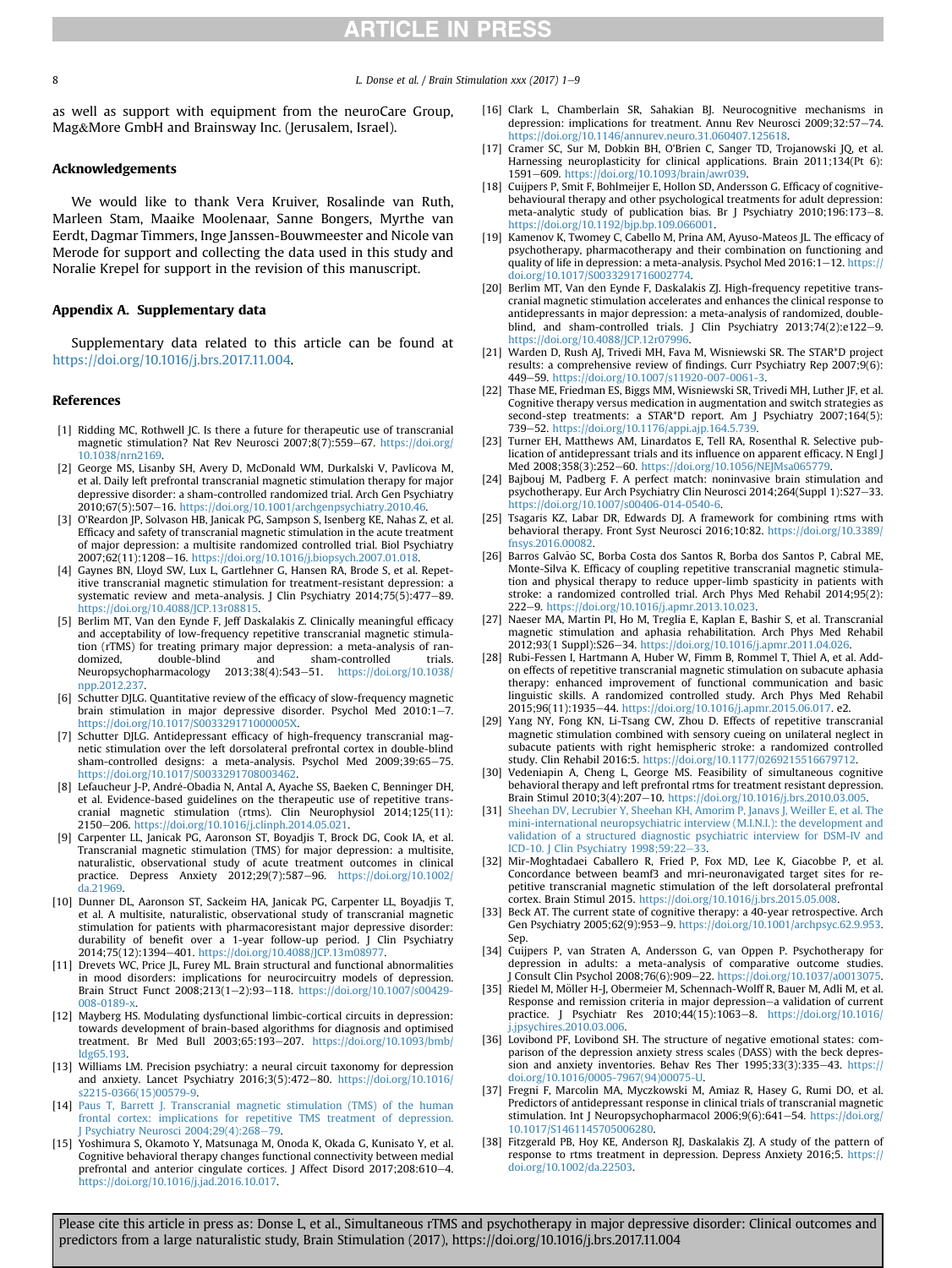<span id="page-7-0"></span>8 **B L.** Donse et al. */* Brain Stimulation xxx (2017) 1–9

as well as support with equipment from the neuroCare Group, Mag&More GmbH and Brainsway Inc. (Jerusalem, Israel).

#### Acknowledgements

We would like to thank Vera Kruiver, Rosalinde van Ruth, Marleen Stam, Maaike Moolenaar, Sanne Bongers, Myrthe van Eerdt, Dagmar Timmers, Inge Janssen-Bouwmeester and Nicole van Merode for support and collecting the data used in this study and Noralie Krepel for support in the revision of this manuscript.

#### Appendix A. Supplementary data

Supplementary data related to this article can be found at [https://doi.org/10.1016/j.brs.2017.11.004.](https://doi.org/10.1016/j.brs.2017.11.004)

#### References

- [1] Ridding MC, Rothwell JC. Is there a future for therapeutic use of transcranial magnetic stimulation? Nat Rev Neurosci 2007;8(7):559-67. [https://doi.org/](https://doi.org/10.1038/nrn2169) [10.1038/nrn2169](https://doi.org/10.1038/nrn2169).
- [2] George MS, Lisanby SH, Avery D, McDonald WM, Durkalski V, Pavlicova M, et al. Daily left prefrontal transcranial magnetic stimulation therapy for major depressive disorder: a sham-controlled randomized trial. Arch Gen Psychiatry 2010;67(5):507-16. <https://doi.org/10.1001/archgenpsychiatry.2010.46>
- [3] O'Reardon JP, Solvason HB, Janicak PG, Sampson S, Isenberg KE, Nahas Z, et al. Efficacy and safety of transcranial magnetic stimulation in the acute treatment of major depression: a multisite randomized controlled trial. Biol Psychiatry 2007;62(11):1208-16. [https://doi.org/10.1016/j.biopsych.2007.01.018.](https://doi.org/10.1016/j.biopsych.2007.01.018)
- [4] Gaynes BN, Lloyd SW, Lux L, Gartlehner G, Hansen RA, Brode S, et al. Repetitive transcranial magnetic stimulation for treatment-resistant depression: a systematic review and meta-analysis. J Clin Psychiatry 2014;75(5):477-89. [https://doi.org/10.4088/JCP.13r08815.](https://doi.org/10.4088/JCP.13r08815)
- [5] Berlim MT, Van den Eynde F, Jeff Daskalakis Z. Clinically meaningful efficacy and acceptability of low-frequency repetitive transcranial magnetic stimulation (rTMS) for treating primary major depression: a meta-analysis of ran-<br>domized, double-blind and sham-controlled trials. domized, double-blind and sham-controlled trials.<br>Neuropsychopharmacology 2013;38(4):543–51. [https://doi.org/10.1038/](https://doi.org/10.1038/npp.2012.237) npp.2012.23<sup>7</sup>
- [6] Schutter DJLG. Quantitative review of the efficacy of slow-frequency magnetic brain stimulation in major depressive disorder. Psychol Med  $2010:1-7$ . <https://doi.org/10.1017/S003329171000005X>.
- [7] Schutter DJLG. Antidepressant efficacy of high-frequency transcranial magnetic stimulation over the left dorsolateral prefrontal cortex in double-blind sham-controlled designs: a meta-analysis. Psychol Med 2009;39:65-75. <https://doi.org/10.1017/S0033291708003462>.
- [8] Lefaucheur J-P, André-Obadia N, Antal A, Ayache SS, Baeken C, Benninger DH, et al. Evidence-based guidelines on the therapeutic use of repetitive transcranial magnetic stimulation (rtms). Clin Neurophysiol 2014;125(11):<br>2150—206.[https://doi.org/10.1016/j.clinph.2014.05.021.](https://doi.org/10.1016/j.clinph.2014.05.021)
- [9] Carpenter LL, Janicak PG, Aaronson ST, Boyadjis T, Brock DG, Cook IA, et al. Transcranial magnetic stimulation (TMS) for major depression: a multisite, naturalistic, observational study of acute treatment outcomes in clinical practice. Depress Anxiety 2012;29(7):587-96. [https://doi.org/10.1002/](https://doi.org/10.1002/da.21969) [da.21969.](https://doi.org/10.1002/da.21969)
- [10] Dunner DL, Aaronson ST, Sackeim HA, Janicak PG, Carpenter LL, Boyadjis T, et al. A multisite, naturalistic, observational study of transcranial magnetic stimulation for patients with pharmacoresistant major depressive disorder: durability of benefit over a 1-year follow-up period. J Clin Psychiatry 2014;75(12):1394-401. https://doi.org/10.4088/JCP.13m0897
- [11] Drevets WC, Price JL, Furey ML. Brain structural and functional abnormalities in mood disorders: implications for neurocircuitry models of depression. Brain Struct Funct 2008;213(1-2):93-118. [https://doi.org/10.1007/s00429-](https://doi.org/10.1007/s00429-008-0189-x) 008-0189-x
- [12] Mayberg HS. Modulating dysfunctional limbic-cortical circuits in depression: towards development of brain-based algorithms for diagnosis and optimised treatment. Br Med Bull 2003;65:193-207. [https://doi.org/10.1093/bmb/](https://doi.org/10.1093/bmb/ldg65.193) [ldg65.193](https://doi.org/10.1093/bmb/ldg65.193).
- [13] Williams LM. Precision psychiatry: a neural circuit taxonomy for depression and anxiety. Lancet Psychiatry 2016;3(5):472-80. [https://doi.org/10.1016/](https://doi.org/10.1016/s2215-0366(15)00579-9) [s2215-0366\(15\)00579-9.](https://doi.org/10.1016/s2215-0366(15)00579-9)
- [14] [Paus T, Barrett J. Transcranial magnetic stimulation \(TMS\) of the human](http://refhub.elsevier.com/S1935-861X(17)30960-9/sref14) [frontal cortex: implications for repetitive TMS treatment of depression.](http://refhub.elsevier.com/S1935-861X(17)30960-9/sref14) Psychiatry Neurosci 2004;29(4):268-[79.](http://refhub.elsevier.com/S1935-861X(17)30960-9/sref14)
- [15] Yoshimura S, Okamoto Y, Matsunaga M, Onoda K, Okada G, Kunisato Y, et al. Cognitive behavioral therapy changes functional connectivity between medial prefrontal and anterior cingulate cortices. J Affect Disord 2017;208:610-4. <https://doi.org/10.1016/j.jad.2016.10.017>.
- [16] Clark L, Chamberlain SR, Sahakian BJ. Neurocognitive mechanisms in depression: implications for treatment. Annu Rev Neurosci 2009;32:57-74. [https://doi.org/10.1146/annurev.neuro.31.060407.125618.](https://doi.org/10.1146/annurev.neuro.31.060407.125618)
- [17] Cramer SC, Sur M, Dobkin BH, O'Brien C, Sanger TD, Trojanowski JQ, et al. Harnessing neuroplasticity for clinical applications. Brain 2011;134(Pt 6): 1591e609. <https://doi.org/10.1093/brain/awr039>.
- [18] Cuijpers P, Smit F, Bohlmeijer E, Hollon SD, Andersson G, Efficacy of cognitivebehavioural therapy and other psychological treatments for adult depression: meta-analytic study of publication bias. Br J Psychiatry 2010;196:173-8. [https://doi.org/10.1192/bjp.bp.109.066001.](https://doi.org/10.1192/bjp.bp.109.066001)
- [19] Kamenov K, Twomey C, Cabello M, Prina AM, Ayuso-Mateos JL. The efficacy of psychotherapy, pharmacotherapy and their combination on functioning and quality of life in depression: a meta-analysis. Psychol Med  $2016:1-12$ . [https://](https://doi.org/10.1017/S0033291716002774) [doi.org/10.1017/S0033291716002774](https://doi.org/10.1017/S0033291716002774).
- [20] Berlim MT, Van den Eynde F, Daskalakis ZJ. High-frequency repetitive transcranial magnetic stimulation accelerates and enhances the clinical response to antidepressants in major depression: a meta-analysis of randomized, doubleblind, and sham-controlled trials. J Clin Psychiatry 2013;74(2):e122-9. <https://doi.org/10.4088/JCP.12r07996>.
- [21] Warden D, Rush AJ, Trivedi MH, Fava M, Wisniewski SR. The STAR\*D project results: a comprehensive review of findings. Curr Psychiatry Rep 2007;9(6):<br>449–59. [https://doi.org/10.1007/s11920-007-0061-3.](https://doi.org/10.1007/s11920-007-0061-3)
- [22] Thase ME, Friedman ES, Biggs MM, Wisniewski SR, Trivedi MH, Luther JF, et al. Cognitive therapy versus medication in augmentation and switch strategies as second-step treatments: a STAR\*D report. Am J Psychiatry 2007;164(5): 739–52. <https://doi.org/10.1176/appi.ajp.164.5.739>.
- [23] Turner EH, Matthews AM, Linardatos E, Tell RA, Rosenthal R. Selective publication of antidepressant trials and its influence on apparent efficacy. N Engl J Med 2008;358(3):252-60. https://doi.org/10.1056/NEJMsa065779
- [24] Bajbouj M, Padberg F. A perfect match: noninvasive brain stimulation and psychotherapy. Eur Arch Psychiatry Clin Neurosci 2014;264(Suppl 1):S27-33. [https://doi.org/10.1007/s00406-014-0540-6.](https://doi.org/10.1007/s00406-014-0540-6)
- [25] Tsagaris KZ, Labar DR, Edwards DJ. A framework for combining rtms with behavioral therapy. Front Syst Neurosci 2016;10:82. [https://doi.org/10.3389/](https://doi.org/10.3389/fnsys.2016.00082) [fnsys.2016.00082.](https://doi.org/10.3389/fnsys.2016.00082)
- [26] Barros Galvão SC, Borba Costa dos Santos R, Borba dos Santos P, Cabral ME, Monte-Silva K. Efficacy of coupling repetitive transcranial magnetic stimulation and physical therapy to reduce upper-limb spasticity in patients with stroke: a randomized controlled trial. Arch Phys Med Rehabil 2014;95(2): 222e9. [https://doi.org/10.1016/j.apmr.2013.10.023.](https://doi.org/10.1016/j.apmr.2013.10.023)
- [27] Naeser MA, Martin PI, Ho M, Treglia E, Kaplan E, Bashir S, et al. Transcranial magnetic stimulation and aphasia rehabilitation. Arch Phys Med Rehabil 2012;93(1 Suppl):S26-34. https://doi.org/10.1016/j.apmr.2011.04.026
- [28] Rubi-Fessen I, Hartmann A, Huber W, Fimm B, Rommel T, Thiel A, et al. Addon effects of repetitive transcranial magnetic stimulation on subacute aphasia therapy: enhanced improvement of functional communication and basic linguistic skills. A randomized controlled study. Arch Phys Med Rehabil 2015;96(11):1935-44. <https://doi.org/10.1016/j.apmr.2015.06.017>. e2.
- [29] Yang NY, Fong KN, Li-Tsang CW, Zhou D. Effects of repetitive transcranial magnetic stimulation combined with sensory cueing on unilateral neglect in subacute patients with right hemispheric stroke: a randomized controlled study. Clin Rehabil 2016:5. [https://doi.org/10.1177/0269215516679712.](https://doi.org/10.1177/0269215516679712)
- [30] Vedeniapin A, Cheng L, George MS. Feasibility of simultaneous cognitive behavioral therapy and left prefrontal rtms for treatment resistant depression. Brain Stimul 2010;3(4):207-10. <https://doi.org/10.1016/j.brs.2010.03.005>.
- [31] [Sheehan DV, Lecrubier Y, Sheehan KH, Amorim P, Janavs J, Weiller E, et al. The](http://refhub.elsevier.com/S1935-861X(17)30960-9/sref31) [mini-international neuropsychiatric interview \(M.I.N.I.\): the development and](http://refhub.elsevier.com/S1935-861X(17)30960-9/sref31) [validation of a structured diagnostic psychiatric interview for DSM-IV and](http://refhub.elsevier.com/S1935-861X(17)30960-9/sref31) [ICD-10. J Clin Psychiatry 1998;59:22](http://refhub.elsevier.com/S1935-861X(17)30960-9/sref31)-[33.](http://refhub.elsevier.com/S1935-861X(17)30960-9/sref31)
- [32] Mir-Moghtadaei Caballero R, Fried P, Fox MD, Lee K, Giacobbe P, et al. Concordance between beamf3 and mri-neuronavigated target sites for repetitive transcranial magnetic stimulation of the left dorsolateral prefrontal cortex. Brain Stimul 2015. <https://doi.org/10.1016/j.brs.2015.05.008>.
- [33] Beck AT. The current state of cognitive therapy: a 40-year retrospective. Arch Gen Psychiatry 2005;62(9):953-9. <https://doi.org/10.1001/archpsyc.62.9.953>. Sep.
- [34] Cuijpers P, van Straten A, Andersson G, van Oppen P. Psychotherapy for depression in adults: a meta-analysis of comparative outcome studies. J Consult Clin Psychol 2008;76(6):909-22. <https://doi.org/10.1037/a0013075>.
- [35] Riedel M, Möller H-J, Obermeier M, Schennach-Wolff R, Bauer M, Adli M, et al. Response and remission criteria in major depression-a validation of current practice. J Psychiatr Res 2010;44(15):1063-8. [https://doi.org/10.1016/](https://doi.org/10.1016/j.jpsychires.2010.03.006) [j.jpsychires.2010.03.006.](https://doi.org/10.1016/j.jpsychires.2010.03.006)
- [36] Lovibond PF, Lovibond SH. The structure of negative emotional states: comparison of the depression anxiety stress scales (DASS) with the beck depression and anxiety inventories. Behav Res Ther  $1995;33(3):335-43.$  [https://](https://doi.org/10.1016/0005-7967(94)00075-U) [doi.org/10.1016/0005-7967\(94\)00075-U.](https://doi.org/10.1016/0005-7967(94)00075-U)
- [37] Fregni F, Marcolin MA, Myczkowski M, Amiaz R, Hasey G, Rumi DO, et al. Predictors of antidepressant response in clinical trials of transcranial magnetic stimulation. Int J Neuropsychopharmacol 2006;9(6):641-54. [https://doi.org/](https://doi.org/10.1017/S1461145705006280) [10.1017/S1461145705006280.](https://doi.org/10.1017/S1461145705006280)
- [38] Fitzgerald PB, Hoy KE, Anderson RJ, Daskalakis ZJ. A study of the pattern of response to rtms treatment in depression. Depress Anxiety 2016;5. [https://](https://doi.org/10.1002/da.22503) [doi.org/10.1002/da.22503.](https://doi.org/10.1002/da.22503)